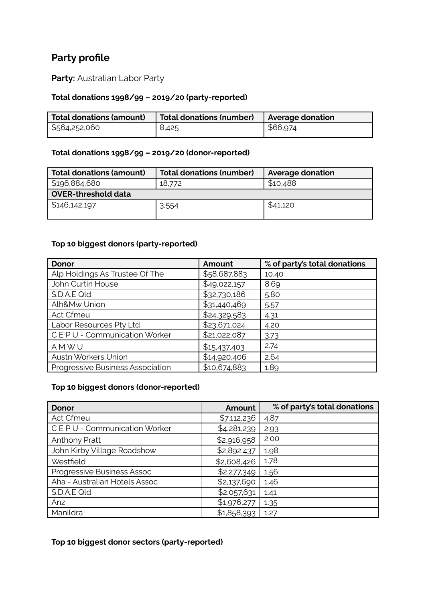# **Party profile**

**Party:** Australian Labor Party

## **Total donations 1998/99 – 2019/20 (party-reported)**

| Total donations (amount) | Total donations (number) | Average donation |
|--------------------------|--------------------------|------------------|
| \$564,252,060            | 8,425                    | \$66,974         |

#### **Total donations 1998/99 – 2019/20 (donor-reported)**

| <b>Total donations (amount)</b> | <b>Total donations (number)</b> | <b>Average donation</b> |  |
|---------------------------------|---------------------------------|-------------------------|--|
| \$196,884,680                   | 18,772                          | \$10,488                |  |
| OVER-threshold data             |                                 |                         |  |
| \$146,142,197                   | 3,554                           | \$41,120                |  |

## **Top 10 biggest donors (party-reported)**

| <b>Donor</b>                     | Amount       | % of party's total donations |
|----------------------------------|--------------|------------------------------|
| Alp Holdings As Trustee Of The   | \$58,687,883 | 10.40                        |
| John Curtin House                | \$49,022,157 | 8.69                         |
| S.D.A.E Qld                      | \$32,730,186 | 5.80                         |
| Alh&Mw Union                     | \$31,440,469 | 5.57                         |
| Act Cfmeu                        | \$24,329,583 | 4.31                         |
| Labor Resources Pty Ltd          | \$23,671,024 | 4.20                         |
| CEPU - Communication Worker      | \$21,022,087 | 3.73                         |
| AMWU                             | \$15,437,403 | 2.74                         |
| Austn Workers Union              | \$14,920,406 | 2.64                         |
| Progressive Business Association | \$10,674,883 | 1.89                         |

#### **Top 10 biggest donors (donor-reported)**

| <b>Donor</b>                  | Amount      | % of party's total donations |
|-------------------------------|-------------|------------------------------|
| Act Cfmeu                     | \$7,112,236 | 4.87                         |
| CEPU - Communication Worker   | \$4,281,239 | 2.93                         |
| <b>Anthony Pratt</b>          | \$2,916,958 | 2.00                         |
| John Kirby Village Roadshow   | \$2,892,437 | 1.98                         |
| Westfield                     | \$2,608,426 | 1.78                         |
| Progressive Business Assoc    | \$2,277,349 | 1.56                         |
| Aha - Australian Hotels Assoc | \$2,137,690 | 1.46                         |
| S.D.A.E Qld                   | \$2,057,631 | 1.41                         |
| Anz                           | \$1,976,277 | 1.35                         |
| Manildra                      | \$1,858,393 | 1.27                         |

## **Top 10 biggest donor sectors (party-reported)**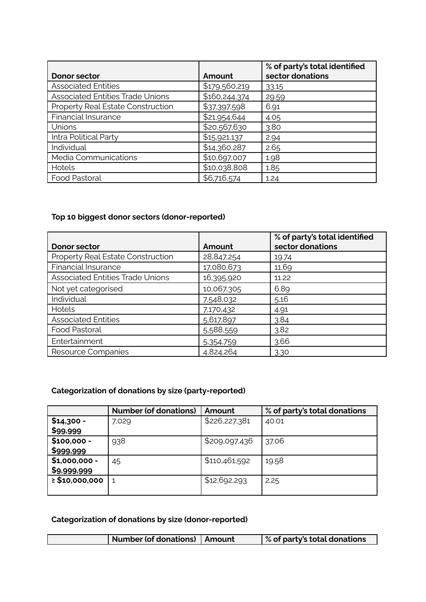| Donor sector                             | Amount        | % of party's total identified<br>sector donations |
|------------------------------------------|---------------|---------------------------------------------------|
| <b>Associated Entities</b>               | \$179,560,219 | 33.15                                             |
| <b>Associated Entities Trade Unions</b>  | \$160,244,374 | 29.59                                             |
| <b>Property Real Estate Construction</b> | \$37,397,598  | 6.91                                              |
| Financial Insurance                      | \$21,954,644  | 4.05                                              |
| Unions                                   | \$20,567,630  | 3.80                                              |
| Intra Political Party                    | \$15,921,137  | 2.94                                              |
| Individual                               | \$14,360,287  | 2.65                                              |
| Media Communications                     | \$10,697,007  | 1.98                                              |
| Hotels                                   | \$10,038,808  | 1.85                                              |
| Food Pastoral                            | \$6,716,574   | 1.24                                              |

## **Top 10 biggest donor sectors (donor-reported)**

|                                          |            | % of party's total identified |
|------------------------------------------|------------|-------------------------------|
| <b>Donor sector</b>                      | Amount     | sector donations              |
| <b>Property Real Estate Construction</b> | 28,847,254 | 19.74                         |
| <b>Financial Insurance</b>               | 17,080,673 | 11.69                         |
| <b>Associated Entities Trade Unions</b>  | 16,395,920 | 11.22                         |
| Not yet categorised                      | 10,067,305 | 6.89                          |
| Individual                               | 7,548,032  | 5.16                          |
| Hotels                                   | 7,170,432  | 4.91                          |
| <b>Associated Entities</b>               | 5,617,897  | 3.84                          |
| Food Pastoral                            | 5,588,559  | 3.82                          |
| Entertainment                            | 5,354,759  | 3.66                          |
| Resource Companies                       | 4,824,264  | 3.30                          |

## **Categorization of donations by size (party-reported)**

|                     | <b>Number (of donations)</b> | Amount        | % of party's total donations |
|---------------------|------------------------------|---------------|------------------------------|
| $$14,300 -$         | 7,029                        | \$226,227,381 | 40.01                        |
| \$99,999            |                              |               |                              |
| $$100,000 -$        | 938                          | \$209,097,436 | 37.06                        |
| \$999,999           |                              |               |                              |
| $$1,000,000 -$      | 45                           | \$110,461,592 | 19.58                        |
| \$9,999,999         |                              |               |                              |
| $\geq$ \$10,000,000 |                              | \$12,692,293  | 2.25                         |
|                     |                              |               |                              |

## **Categorization of donations by size (donor-reported)**